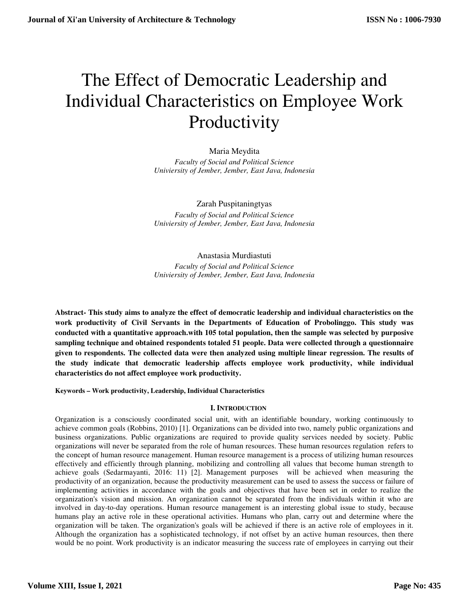# The Effect of Democratic Leadership and Individual Characteristics on Employee Work Productivity

Maria Meydita *Faculty of Social and Political Science Univiersity of Jember, Jember, East Java, Indonesia*

Zarah Puspitaningtyas *Faculty of Social and Political Science Univiersity of Jember, Jember, East Java, Indonesia*

# Anastasia Murdiastuti

*Faculty of Social and Political Science Univiersity of Jember, Jember, East Java, Indonesia*

**Abstract- This study aims to analyze the effect of democratic leadership and individual characteristics on the work productivity of Civil Servants in the Departments of Education of Probolinggo. This study was conducted with a quantitative approach.with 105 total population, then the sample was selected by purposive sampling technique and obtained respondents totaled 51 people. Data were collected through a questionnaire given to respondents. The collected data were then analyzed using multiple linear regression. The results of the study indicate that democratic leadership affects employee work productivity, while individual characteristics do not affect employee work productivity.** 

**Keywords – Work productivity, Leadership, Individual Characteristics** 

## **I. INTRODUCTION**

Organization is a consciously coordinated social unit, with an identifiable boundary, working continuously to achieve common goals (Robbins, 2010) [1]. Organizations can be divided into two, namely public organizations and business organizations. Public organizations are required to provide quality services needed by society. Public organizations will never be separated from the role of human resources. These human resources regulation refers to the concept of human resource management. Human resource management is a process of utilizing human resources effectively and efficiently through planning, mobilizing and controlling all values that become human strength to achieve goals (Sedarmayanti, 2016: 11) [2]. Management purposes will be achieved when measuring the productivity of an organization, because the productivity measurement can be used to assess the success or failure of implementing activities in accordance with the goals and objectives that have been set in order to realize the organization's vision and mission. An organization cannot be separated from the individuals within it who are involved in day-to-day operations. Human resource management is an interesting global issue to study, because humans play an active role in these operational activities. Humans who plan, carry out and determine where the organization will be taken. The organization's goals will be achieved if there is an active role of employees in it. Although the organization has a sophisticated technology, if not offset by an active human resources, then there would be no point. Work productivity is an indicator measuring the success rate of employees in carrying out their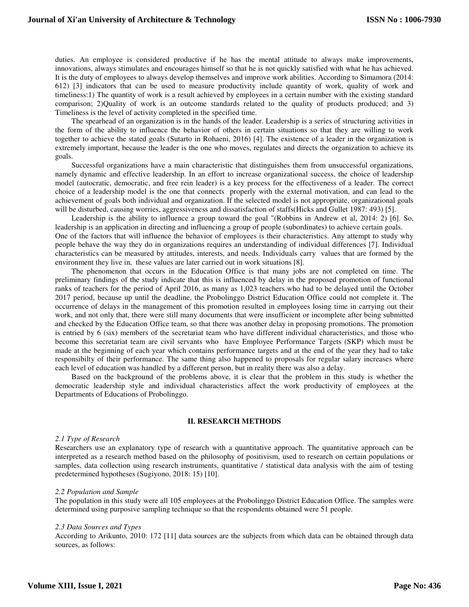duties. An employee is considered productive if he has the mental attitude to always make improvements, innovations, always stimulates and encourages himself so that he is not quickly satisfied with what he has achieved. It is the duty of employees to always develop themselves and improve work abilities. According to Simamora (2014: 612) [3] indicators that can be used to measure productivity include quantity of work, quality of work and timeliness:1) The quantity of work is a result achieved by employees in a certain number with the existing standard comparison; 2)Quality of work is an outcome standards related to the quality of products produced; and 3) Timeliness is the level of activity completed in the specified time.

The spearhead of an organization is in the hands of the leader. Leadership is a series of structuring activities in the form of the ability to influence the behavior of others in certain situations so that they are willing to work together to achieve the stated goals (Sutarto in Rohaeni, 2016) [4]. The existence of a leader in the organization is extremely important, because the leader is the one who moves, regulates and directs the organization to achieve its goals.

Successful organizations have a main characteristic that distinguishes them from unsuccessful organizations, namely dynamic and effective leadership. In an effort to increase organizational success, the choice of leadership model (autocratic, democratic, and free rein leader) is a key process for the effectiveness of a leader. The correct choice of a leadership model is the one that connects properly with the external motivation, and can lead to the achievement of goals both individual and organization. If the selected model is not appropriate, organizational goals will be disturbed, causing worries, aggressiveness and dissatisfaction of staffs(Hicks and Gullet 1987: 493) [5].

Leadership is the ability to influence a group toward the goal "(Robbins in Andrew et al, 2014: 2) [6]. So, leadership is an application in directing and influencing a group of people (subordinates) to achieve certain goals. One of the factors that will influence the behavior of employees is their characteristics. Any attempt to study why people behave the way they do in organizations requires an understanding of individual differences [7]. Individual characteristics can be measured by attitudes, interests, and needs. Individuals carry values that are formed by the environment they live in, these values are later carried out in work situations [8].

The phenomenon that occurs in the Education Office is that many jobs are not completed on time. The preliminary findings of the study indicate that this is influenced by delay in the proposed promotion of functional ranks of teachers for the period of April 2016, as many as 1,023 teachers who had to be delayed until the October 2017 period, because up until the deadline, the Probolinggo District Education Office could not complete it. The occurrence of delays in the management of this promotion resulted in employees losing time in carrying out their work, and not only that, there were still many documents that were insufficient or incomplete after being submitted and checked by the Education Office team, so that there was another delay in proposing promotions. The promotion is entried by 6 (six) members of the secretariat team who have different individual characteristics, and those who become this secretariat team are civil servants who have Employee Performance Targets (SKP) which must be made at the beginning of each year which contains performance targets and at the end of the year they had to take responsibilty of their performance. The same thing also happened to proposals for regular salary increases where each level of education was handled by a different person, but in reality there was also a delay.

Based on the background of the problems above, it is clear that the problem in this study is whether the democratic leadership style and individual characteristics affect the work productivity of employees at the Departments of Educations of Probolinggo.

#### **II. RESEARCH METHODS**

#### *2.1 Type of Research*

Researchers use an explanatory type of research with a quantitative approach. The quantitative approach can be interpreted as a research method based on the philosophy of positivism, used to research on certain populations or samples, data collection using research instruments, quantitative / statistical data analysis with the aim of testing predetermined hypotheses (Sugiyono, 2018: 15) [10].

#### *2.2 Population and Sample*

The population in this study were all 105 employees at the Probolinggo District Education Office. The samples were determined using purposive sampling technique so that the respondents obtained were 51 people.

#### *2.3 Data Sources and Types*

According to Arikunto, 2010: 172 [11] data sources are the subjects from which data can be obtained through data sources, as follows: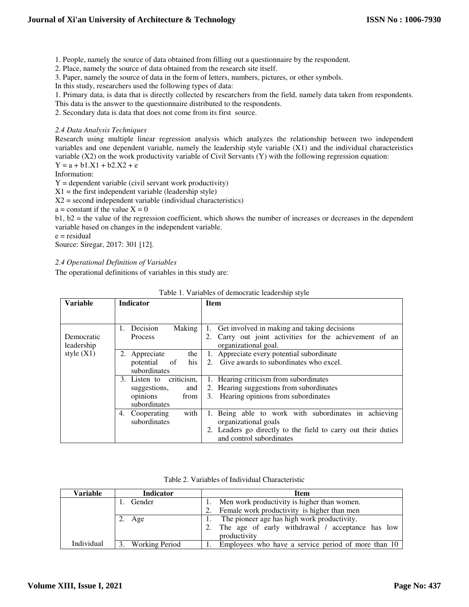1. People, namely the source of data obtained from filling out a questionnaire by the respondent.

2. Place, namely the source of data obtained from the research site itself.

3. Paper, namely the source of data in the form of letters, numbers, pictures, or other symbols.

In this study, researchers used the following types of data:

1. Primary data, is data that is directly collected by researchers from the field, namely data taken from respondents.

This data is the answer to the questionnaire distributed to the respondents.

2. Secondary data is data that does not come from its first source.

#### *2.4 Data Analysis Techniques*

Research using multiple linear regression analysis which analyzes the relationship between two independent variables and one dependent variable, namely the leadership style variable (X1) and the individual characteristics variable (X2) on the work productivity variable of Civil Servants (Y) with the following regression equation:

 $Y = a + b1.X1 + b2.X2 + e$ 

Information:

 $Y =$  dependent variable (civil servant work productivity)

 $X1 =$  the first independent variable (leadership style)

 $X2$  = second independent variable (individual characteristics)

 $a = constant$  if the value  $X = 0$ 

 $b1, b2$  = the value of the regression coefficient, which shows the number of increases or decreases in the dependent variable based on changes in the independent variable.

e = residual

Source: Siregar, 2017: 301 [12].

## *2.4 Operational Definition of Variables*

The operational definitions of variables in this study are:

| <b>Variable</b> | Indicator                        | <b>Item</b>                                                   |  |  |
|-----------------|----------------------------------|---------------------------------------------------------------|--|--|
|                 |                                  |                                                               |  |  |
|                 | Decision<br>Making<br>1.<br>1.   | Get involved in making and taking decisions                   |  |  |
| Democratic      | Process<br>2.                    | Carry out joint activities for the achievement of an          |  |  |
| leadership      |                                  | organizational goal.                                          |  |  |
| style $(X1)$    | 2. Appreciate<br>the 1           | 1. Appreciate every potential subordinate                     |  |  |
|                 | his l<br>potential<br>$\circ$ of | 2. Give awards to subordinates who excel.                     |  |  |
|                 | subordinates                     |                                                               |  |  |
|                 | criticism,<br>3. Listen to       | 1. Hearing criticism from subordinates                        |  |  |
|                 | suggestions,<br>and              | 2. Hearing suggestions from subordinates                      |  |  |
|                 | opinions<br>from                 | Hearing opinions from subordinates<br>3.                      |  |  |
|                 | subordinates                     |                                                               |  |  |
|                 | with<br>4. Cooperating           | 1. Being able to work with subordinates in achieving          |  |  |
|                 | subordinates                     | organizational goals                                          |  |  |
|                 |                                  | 2. Leaders go directly to the field to carry out their duties |  |  |
|                 |                                  | and control subordinates                                      |  |  |

| Table 1. Variables of democratic leadership style |  |  |  |  |  |  |  |
|---------------------------------------------------|--|--|--|--|--|--|--|
|---------------------------------------------------|--|--|--|--|--|--|--|

|  | Table 2. Variables of Individual Characteristic |  |
|--|-------------------------------------------------|--|
|  |                                                 |  |

| Variable   | <b>Indicator</b>  | <b>Item</b>                                            |  |  |  |  |
|------------|-------------------|--------------------------------------------------------|--|--|--|--|
|            | 1. Gender         | Men work productivity is higher than women.            |  |  |  |  |
|            |                   | Female work productivity is higher than men<br>2.      |  |  |  |  |
|            | 2. Age            | The pioneer age has high work productivity.            |  |  |  |  |
|            |                   | The age of early withdrawal / acceptance has low<br>2. |  |  |  |  |
|            |                   | productivity                                           |  |  |  |  |
| Individual | 3. Working Period | Employees who have a service period of more than 10    |  |  |  |  |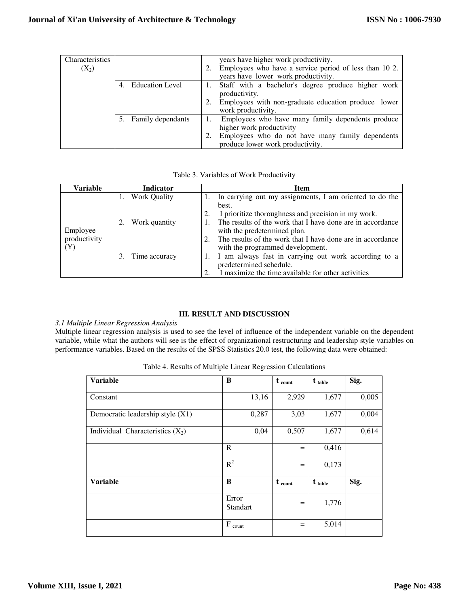| Characteristics<br>$(X_2)$ |                      | years have higher work productivity.<br>Employees who have a service period of less than 10 2.<br>years have lower work productivity.                                 |
|----------------------------|----------------------|-----------------------------------------------------------------------------------------------------------------------------------------------------------------------|
|                            | 4. Education Level   | Staff with a bachelor's degree produce higher work<br>productivity.<br>Employees with non-graduate education produce lower<br>work productivity.                      |
|                            | 5. Family dependants | Employees who have many family dependents produce<br>higher work productivity<br>Employees who do not have many family dependents<br>produce lower work productivity. |

Table 3. Variables of Work Productivity

| Variable     | <b>Indicator</b> | <b>Item</b>                                                      |  |  |  |  |
|--------------|------------------|------------------------------------------------------------------|--|--|--|--|
|              | 1. Work Quality  | In carrying out my assignments, I am oriented to do the          |  |  |  |  |
|              |                  | best.                                                            |  |  |  |  |
|              |                  | I prioritize thoroughness and precision in my work.<br>2.        |  |  |  |  |
|              | 2. Work quantity | The results of the work that I have done are in accordance       |  |  |  |  |
| Employee     |                  | with the predetermined plan.                                     |  |  |  |  |
| productivity |                  | The results of the work that I have done are in accordance<br>2. |  |  |  |  |
| (Y)          |                  | with the programmed development.                                 |  |  |  |  |
|              | 3. Time accuracy | I am always fast in carrying out work according to a             |  |  |  |  |
|              |                  | predetermined schedule.                                          |  |  |  |  |
|              |                  | I maximize the time available for other activities<br>2.         |  |  |  |  |

# **III. RESULT AND DISCUSSION**

## *3.1 Multiple Linear Regression Analysis*

Multiple linear regression analysis is used to see the level of influence of the independent variable on the dependent variable, while what the authors will see is the effect of organizational restructuring and leadership style variables on performance variables. Based on the results of the SPSS Statistics 20.0 test, the following data were obtained:

| <b>Variable</b>                    | B                  | $t_{\text{count}}$ | $t_{\text{table}}$ | Sig.  |
|------------------------------------|--------------------|--------------------|--------------------|-------|
|                                    |                    |                    |                    |       |
| Constant                           | 13,16              | 2,929              | 1,677              | 0,005 |
| Democratic leadership style (X1)   | 0,287              | 3,03               | 1,677              | 0,004 |
| Individual Characteristics $(X_2)$ | 0,04               | 0,507              | 1,677              | 0,614 |
|                                    | $\mathbf R$        | $=$                | 0,416              |       |
|                                    | $R^2$              | $=$                | 0,173              |       |
| <b>Variable</b>                    | B                  | $t_{\text{count}}$ | $t_{\text{table}}$ | Sig.  |
|                                    | Error<br>Standart  | $=$                | 1,776              |       |
|                                    | $F_{\text{count}}$ | $=$                | 5,014              |       |

Table 4. Results of Multiple Linear Regression Calculations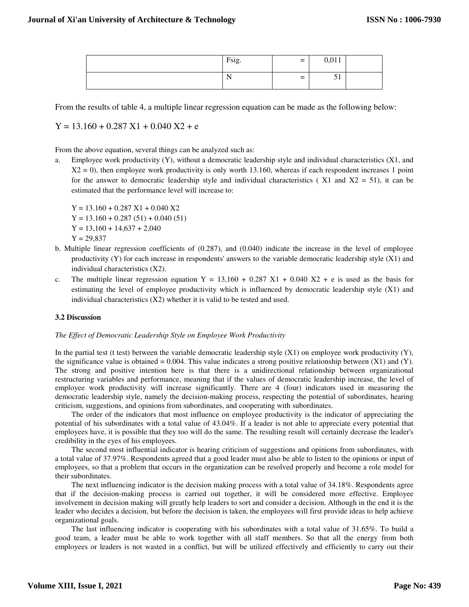| Fsig.              | $=$ | 0,011      |  |
|--------------------|-----|------------|--|
| $\sim$ $\sim$<br>N | $=$ | $-1$<br>◡▴ |  |

From the results of table 4, a multiple linear regression equation can be made as the following below:

 $Y = 13.160 + 0.287 X1 + 0.040 X2 + e$ 

From the above equation, several things can be analyzed such as:

a. Employee work productivity (Y), without a democratic leadership style and individual characteristics (X1, and  $X2 = 0$ ), then employee work productivity is only worth 13.160, whereas if each respondent increases 1 point for the answer to democratic leadership style and individual characteristics ( $X1$  and  $X2 = 51$ ), it can be estimated that the performance level will increase to:

 $Y = 13.160 + 0.287 X1 + 0.040 X2$  $Y = 13.160 + 0.287(51) + 0.040(51)$  $Y = 13,160 + 14,637 + 2,040$  $Y = 29,837$ 

- b. Multiple linear regression coefficients of (0.287), and (0.040) indicate the increase in the level of employee productivity (Y) for each increase in respondents' answers to the variable democratic leadership style (X1) and individual characteristics (X2).
- c. The multiple linear regression equation  $Y = 13,160 + 0.287 X1 + 0.040 X2 + e$  is used as the basis for estimating the level of employee productivity which is influenced by democratic leadership style (X1) and individual characteristics  $(X2)$  whether it is valid to be tested and used.

## **3.2 Discussion**

## *The Effect of Democratic Leadership Style on Employee Work Productivity*

In the partial test (t test) between the variable democratic leadership style  $(X1)$  on employee work productivity  $(Y)$ , the significance value is obtained = 0.004. This value indicates a strong positive relationship between  $(X1)$  and  $(Y)$ . The strong and positive intention here is that there is a unidirectional relationship between organizational restructuring variables and performance, meaning that if the values of democratic leadership increase, the level of employee work productivity will increase significantly. There are 4 (four) indicators used in measuring the democratic leadership style, namely the decision-making process, respecting the potential of subordinates, hearing criticism, suggestions, and opinions from subordinates, and cooperating with subordinates.

The order of the indicators that most influence on employee productivity is the indicator of appreciating the potential of his subordinates with a total value of 43.04%. If a leader is not able to appreciate every potential that employees have, it is possible that they too will do the same. The resulting result will certainly decrease the leader's credibility in the eyes of his employees.

The second most influential indicator is hearing criticism of suggestions and opinions from subordinates, with a total value of 37.97%. Respondents agreed that a good leader must also be able to listen to the opinions or input of employees, so that a problem that occurs in the organization can be resolved properly and become a role model for their subordinates.

The next influencing indicator is the decision making process with a total value of 34.18%. Respondents agree that if the decision-making process is carried out together, it will be considered more effective. Employee involvement in decision making will greatly help leaders to sort and consider a decision. Although in the end it is the leader who decides a decision, but before the decision is taken, the employees will first provide ideas to help achieve organizational goals.

The last influencing indicator is cooperating with his subordinates with a total value of 31.65%. To build a good team, a leader must be able to work together with all staff members. So that all the energy from both employees or leaders is not wasted in a conflict, but will be utilized effectively and efficiently to carry out their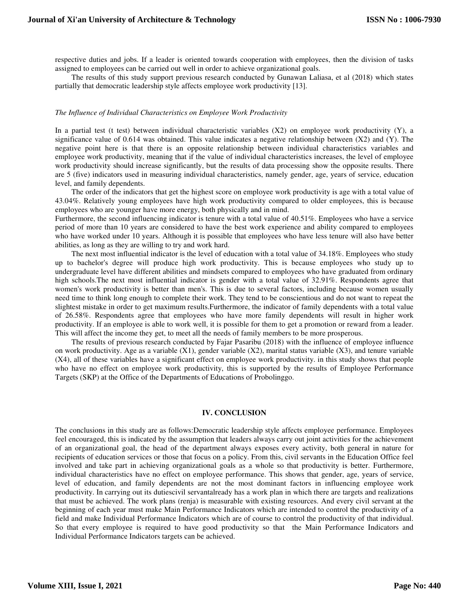respective duties and jobs. If a leader is oriented towards cooperation with employees, then the division of tasks assigned to employees can be carried out well in order to achieve organizational goals.

The results of this study support previous research conducted by Gunawan Laliasa, et al (2018) which states partially that democratic leadership style affects employee work productivity [13].

#### *The Influence of Individual Characteristics on Employee Work Productivity*

In a partial test (t test) between individual characteristic variables (X2) on employee work productivity (Y), a significance value of 0.614 was obtained. This value indicates a negative relationship between  $(X2)$  and  $(Y)$ . The negative point here is that there is an opposite relationship between individual characteristics variables and employee work productivity, meaning that if the value of individual characteristics increases, the level of employee work productivity should increase significantly, but the results of data processing show the opposite results. There are 5 (five) indicators used in measuring individual characteristics, namely gender, age, years of service, education level, and family dependents.

The order of the indicators that get the highest score on employee work productivity is age with a total value of 43.04%. Relatively young employees have high work productivity compared to older employees, this is because employees who are younger have more energy, both physically and in mind.

Furthermore, the second influencing indicator is tenure with a total value of 40.51%. Employees who have a service period of more than 10 years are considered to have the best work experience and ability compared to employees who have worked under 10 years. Although it is possible that employees who have less tenure will also have better abilities, as long as they are willing to try and work hard.

The next most influential indicator is the level of education with a total value of 34.18%. Employees who study up to bachelor's degree will produce high work productivity. This is because employees who study up to undergraduate level have different abilities and mindsets compared to employees who have graduated from ordinary high schools.The next most influential indicator is gender with a total value of 32.91%. Respondents agree that women's work productivity is better than men's. This is due to several factors, including because women usually need time to think long enough to complete their work. They tend to be conscientious and do not want to repeat the slightest mistake in order to get maximum results.Furthermore, the indicator of family dependents with a total value of 26.58%. Respondents agree that employees who have more family dependents will result in higher work productivity. If an employee is able to work well, it is possible for them to get a promotion or reward from a leader. This will affect the income they get, to meet all the needs of family members to be more prosperous.

The results of previous research conducted by Fajar Pasaribu (2018) with the influence of employee influence on work productivity. Age as a variable  $(X1)$ , gender variable  $(X2)$ , marital status variable  $(X3)$ , and tenure variable (X4), all of these variables have a significant effect on employee work productivity. in this study shows that people who have no effect on employee work productivity, this is supported by the results of Employee Performance Targets (SKP) at the Office of the Departments of Educations of Probolinggo.

#### **IV. CONCLUSION**

The conclusions in this study are as follows:Democratic leadership style affects employee performance. Employees feel encouraged, this is indicated by the assumption that leaders always carry out joint activities for the achievement of an organizational goal, the head of the department always exposes every activity, both general in nature for recipients of education services or those that focus on a policy. From this, civil servants in the Education Office feel involved and take part in achieving organizational goals as a whole so that productivity is better. Furthermore, individual characteristics have no effect on employee performance. This shows that gender, age, years of service, level of education, and family dependents are not the most dominant factors in influencing employee work productivity. In carrying out its dutiescivil servantalready has a work plan in which there are targets and realizations that must be achieved. The work plans (renja) is measurable with existing resources. And every civil servant at the beginning of each year must make Main Performance Indicators which are intended to control the productivity of a field and make Individual Performance Indicators which are of course to control the productivity of that individual. So that every employee is required to have good productivity so that the Main Performance Indicators and Individual Performance Indicators targets can be achieved.